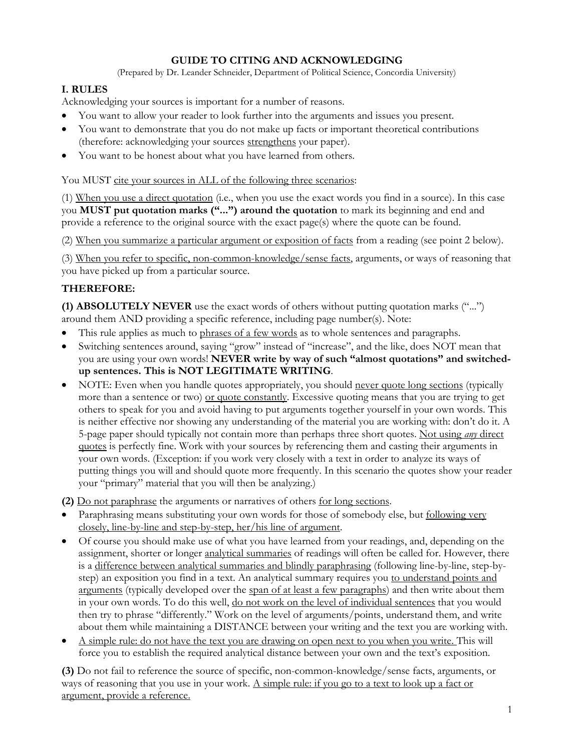# **GUIDE TO CITING AND ACKNOWLEDGING**

(Prepared by Dr. Leander Schneider, Department of Political Science, Concordia University)

# **I. RULES**

Acknowledging your sources is important for a number of reasons.

- You want to allow your reader to look further into the arguments and issues you present.
- You want to demonstrate that you do not make up facts or important theoretical contributions (therefore: acknowledging your sources strengthens your paper).
- You want to be honest about what you have learned from others.

#### You MUST cite your sources in ALL of the following three scenarios:

(1) When you use a direct quotation (i.e., when you use the exact words you find in a source). In this case you **MUST put quotation marks ("...") around the quotation** to mark its beginning and end and provide a reference to the original source with the exact page(s) where the quote can be found.

(2) When you summarize a particular argument or exposition of facts from a reading (see point 2 below).

(3) When you refer to specific, non-common-knowledge/sense facts, arguments, or ways of reasoning that you have picked up from a particular source.

## **THEREFORE:**

**(1) ABSOLUTELY NEVER** use the exact words of others without putting quotation marks ("...") around them AND providing a specific reference, including page number(s). Note:

- This rule applies as much to phrases of a few words as to whole sentences and paragraphs.
- Switching sentences around, saying "grow" instead of "increase", and the like, does NOT mean that you are using your own words! **NEVER write by way of such "almost quotations" and switchedup sentences. This is NOT LEGITIMATE WRITING**.
- NOTE: Even when you handle quotes appropriately, you should never quote long sections (typically more than a sentence or two) or quote constantly. Excessive quoting means that you are trying to get others to speak for you and avoid having to put arguments together yourself in your own words. This is neither effective nor showing any understanding of the material you are working with: don't do it. A 5-page paper should typically not contain more than perhaps three short quotes. Not using *any* direct quotes is perfectly fine. Work with your sources by referencing them and casting their arguments in your own words. (Exception: if you work very closely with a text in order to analyze its ways of putting things you will and should quote more frequently. In this scenario the quotes show your reader your "primary" material that you will then be analyzing.)

**(2)** Do not paraphrase the arguments or narratives of others for long sections.

- Paraphrasing means substituting your own words for those of somebody else, but following very closely, line-by-line and step-by-step, her/his line of argument.
- Of course you should make use of what you have learned from your readings, and, depending on the assignment, shorter or longer analytical summaries of readings will often be called for. However, there is a difference between analytical summaries and blindly paraphrasing (following line-by-line, step-bystep) an exposition you find in a text. An analytical summary requires you to understand points and arguments (typically developed over the span of at least a few paragraphs) and then write about them in your own words. To do this well, do not work on the level of individual sentences that you would then try to phrase "differently." Work on the level of arguments/points, understand them, and write about them while maintaining a DISTANCE between your writing and the text you are working with.
- A simple rule: do not have the text you are drawing on open next to you when you write. This will force you to establish the required analytical distance between your own and the text's exposition.

**(3)** Do not fail to reference the source of specific, non-common-knowledge/sense facts, arguments, or ways of reasoning that you use in your work. A simple rule: if you go to a text to look up a fact or argument, provide a reference.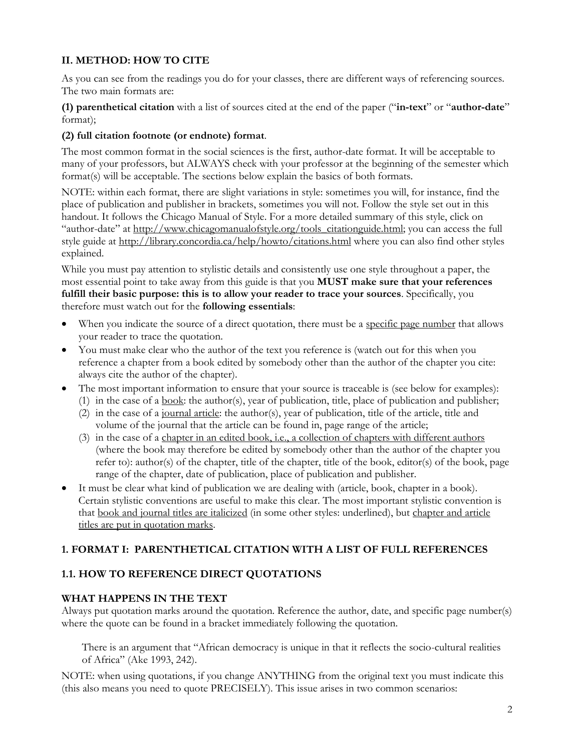# **II. METHOD: HOW TO CITE**

As you can see from the readings you do for your classes, there are different ways of referencing sources. The two main formats are:

# **(1) parenthetical citation** with a list of sources cited at the end of the paper ("**in-text**" or "**author-date**" format);

# **(2) full citation footnote (or endnote) format**.

The most common format in the social sciences is the first, author-date format. It will be acceptable to many of your professors, but ALWAYS check with your professor at the beginning of the semester which format(s) will be acceptable. The sections below explain the basics of both formats.

NOTE: within each format, there are slight variations in style: sometimes you will, for instance, find the place of publication and publisher in brackets, sometimes you will not. Follow the style set out in this handout. It follows the Chicago Manual of Style. For a more detailed summary of this style, click on "author-date" at [http://www.chicagomanualofstyle.org/tools\\_citationguide.html;](http://www.chicagomanualofstyle.org/tools_citationguide.html) you can access the full style guide at<http://library.concordia.ca/help/howto/citations.html> where you can also find other styles explained.

While you must pay attention to stylistic details and consistently use one style throughout a paper, the most essential point to take away from this guide is that you **MUST make sure that your references fulfill their basic purpose: this is to allow your reader to trace your sources**. Specifically, you therefore must watch out for the **following essentials**:

- When you indicate the source of a direct quotation, there must be a <u>specific page number</u> that allows your reader to trace the quotation.
- You must make clear who the author of the text you reference is (watch out for this when you reference a chapter from a book edited by somebody other than the author of the chapter you cite: always cite the author of the chapter).
- The most important information to ensure that your source is traceable is (see below for examples): (1) in the case of a book: the author(s), year of publication, title, place of publication and publisher;
	- (2) in the case of a journal article: the author(s), year of publication, title of the article, title and volume of the journal that the article can be found in, page range of the article;
	- (3) in the case of a chapter in an edited book, i.e., a collection of chapters with different authors (where the book may therefore be edited by somebody other than the author of the chapter you refer to): author(s) of the chapter, title of the chapter, title of the book, editor(s) of the book, page range of the chapter, date of publication, place of publication and publisher.
- It must be clear what kind of publication we are dealing with (article, book, chapter in a book). Certain stylistic conventions are useful to make this clear. The most important stylistic convention is that book and journal titles are italicized (in some other styles: underlined), but chapter and article titles are put in quotation marks.

## **1. FORMAT I: PARENTHETICAL CITATION WITH A LIST OF FULL REFERENCES**

# **1.1. HOW TO REFERENCE DIRECT QUOTATIONS**

# **WHAT HAPPENS IN THE TEXT**

Always put quotation marks around the quotation. Reference the author, date, and specific page number(s) where the quote can be found in a bracket immediately following the quotation.

There is an argument that "African democracy is unique in that it reflects the socio-cultural realities of Africa" (Ake 1993, 242).

NOTE: when using quotations, if you change ANYTHING from the original text you must indicate this (this also means you need to quote PRECISELY). This issue arises in two common scenarios: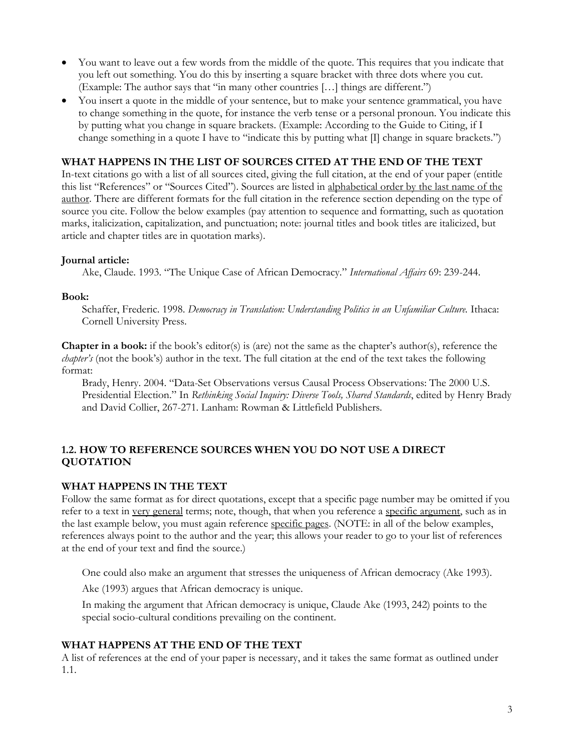- You want to leave out a few words from the middle of the quote. This requires that you indicate that you left out something. You do this by inserting a square bracket with three dots where you cut. (Example: The author says that "in many other countries […] things are different.")
- You insert a quote in the middle of your sentence, but to make your sentence grammatical, you have to change something in the quote, for instance the verb tense or a personal pronoun. You indicate this by putting what you change in square brackets. (Example: According to the Guide to Citing, if I change something in a quote I have to "indicate this by putting what [I] change in square brackets.")

# **WHAT HAPPENS IN THE LIST OF SOURCES CITED AT THE END OF THE TEXT**

In-text citations go with a list of all sources cited, giving the full citation, at the end of your paper (entitle this list "References" or "Sources Cited"). Sources are listed in alphabetical order by the last name of the author. There are different formats for the full citation in the reference section depending on the type of source you cite. Follow the below examples (pay attention to sequence and formatting, such as quotation marks, italicization, capitalization, and punctuation; note: journal titles and book titles are italicized, but article and chapter titles are in quotation marks).

#### **Journal article:**

Ake, Claude. 1993. "The Unique Case of African Democracy." *International Affairs* 69: 239-244.

#### **Book:**

Schaffer, Frederic. 1998. *Democracy in Translation: Understanding Politics in an Unfamiliar Culture.* Ithaca: Cornell University Press.

**Chapter in a book:** if the book's editor(s) is (are) not the same as the chapter's author(s), reference the *chapter's* (not the book's) author in the text. The full citation at the end of the text takes the following format:

Brady, Henry. 2004. "Data-Set Observations versus Causal Process Observations: The 2000 U.S. Presidential Election." In *Rethinking Social Inquiry: Diverse Tools, Shared Standards*, edited by Henry Brady and David Collier, 267-271. Lanham: Rowman & Littlefield Publishers.

## **1.2. HOW TO REFERENCE SOURCES WHEN YOU DO NOT USE A DIRECT QUOTATION**

## **WHAT HAPPENS IN THE TEXT**

Follow the same format as for direct quotations, except that a specific page number may be omitted if you refer to a text in very general terms; note, though, that when you reference a specific argument, such as in the last example below, you must again reference specific pages. (NOTE: in all of the below examples, references always point to the author and the year; this allows your reader to go to your list of references at the end of your text and find the source.)

One could also make an argument that stresses the uniqueness of African democracy (Ake 1993).

Ake (1993) argues that African democracy is unique.

In making the argument that African democracy is unique, Claude Ake (1993, 242) points to the special socio-cultural conditions prevailing on the continent.

## **WHAT HAPPENS AT THE END OF THE TEXT**

A list of references at the end of your paper is necessary, and it takes the same format as outlined under 1.1.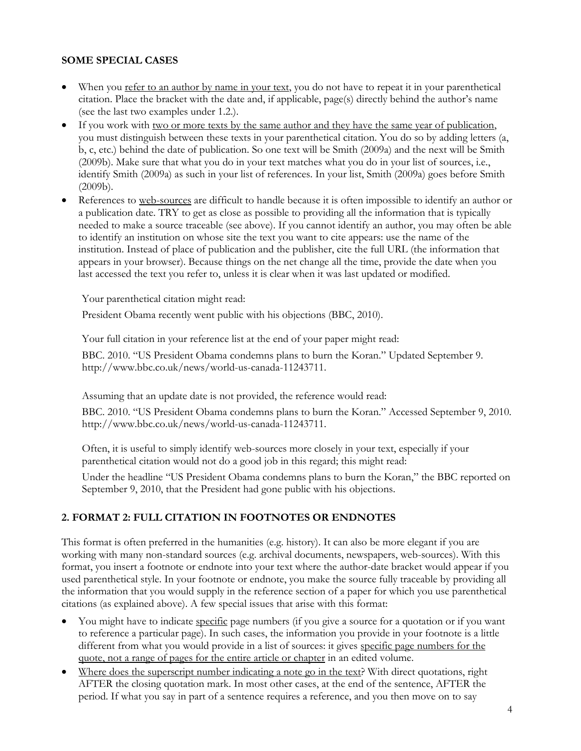# **SOME SPECIAL CASES**

- When you refer to an author by name in your text, you do not have to repeat it in your parenthetical citation. Place the bracket with the date and, if applicable, page(s) directly behind the author's name (see the last two examples under 1.2.).
- If you work with <u>two or more texts by the same author and they have the same year of publication</u>, you must distinguish between these texts in your parenthetical citation. You do so by adding letters (a, b, c, etc.) behind the date of publication. So one text will be Smith (2009a) and the next will be Smith (2009b). Make sure that what you do in your text matches what you do in your list of sources, i.e., identify Smith (2009a) as such in your list of references. In your list, Smith (2009a) goes before Smith (2009b).
- References to web-sources are difficult to handle because it is often impossible to identify an author or a publication date. TRY to get as close as possible to providing all the information that is typically needed to make a source traceable (see above). If you cannot identify an author, you may often be able to identify an institution on whose site the text you want to cite appears: use the name of the institution. Instead of place of publication and the publisher, cite the full URL (the information that appears in your browser). Because things on the net change all the time, provide the date when you last accessed the text you refer to, unless it is clear when it was last updated or modified.

Your parenthetical citation might read:

President Obama recently went public with his objections (BBC, 2010).

Your full citation in your reference list at the end of your paper might read:

BBC. 2010. "US President Obama condemns plans to burn the Koran." Updated September 9. http://www.bbc.co.uk/news/world-us-canada-11243711.

Assuming that an update date is not provided, the reference would read:

BBC. 2010. "US President Obama condemns plans to burn the Koran." Accessed September 9, 2010. http://www.bbc.co.uk/news/world-us-canada-11243711.

Often, it is useful to simply identify web-sources more closely in your text, especially if your parenthetical citation would not do a good job in this regard; this might read:

Under the headline "US President Obama condemns plans to burn the Koran," the BBC reported on September 9, 2010, that the President had gone public with his objections.

## **2. FORMAT 2: FULL CITATION IN FOOTNOTES OR ENDNOTES**

This format is often preferred in the humanities (e.g. history). It can also be more elegant if you are working with many non-standard sources (e.g. archival documents, newspapers, web-sources). With this format, you insert a footnote or endnote into your text where the author-date bracket would appear if you used parenthetical style. In your footnote or endnote, you make the source fully traceable by providing all the information that you would supply in the reference section of a paper for which you use parenthetical citations (as explained above). A few special issues that arise with this format:

- You might have to indicate specific page numbers (if you give a source for a quotation or if you want to reference a particular page). In such cases, the information you provide in your footnote is a little different from what you would provide in a list of sources: it gives specific page numbers for the quote, not a range of pages for the entire article or chapter in an edited volume.
- Where does the superscript number indicating a note go in the text? With direct quotations, right AFTER the closing quotation mark. In most other cases, at the end of the sentence, AFTER the period. If what you say in part of a sentence requires a reference, and you then move on to say